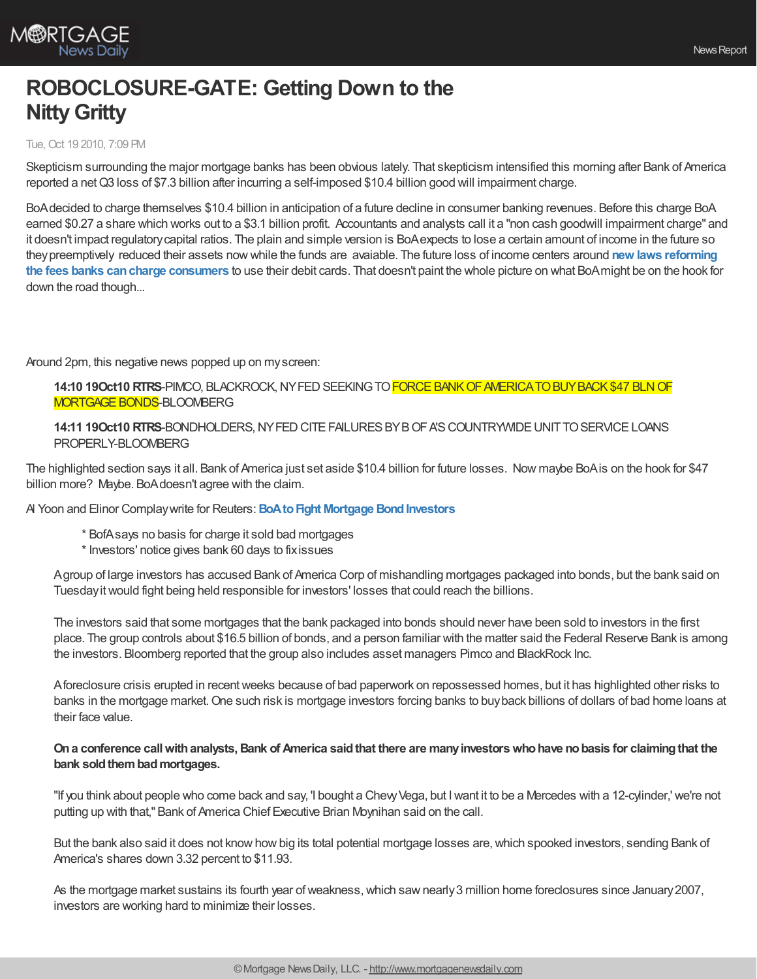

## **ROBOCLOSURE-GATE: Getting Down to the Nitty Gritty**

## Tue, Oct 19 2010, 7:09 PM

Skepticism surrounding the major mortgage banks has been obvious lately. That skepticism intensified this morning after Bank of America reported a net Q3 loss of \$7.3 billion after incurring a self-imposed \$10.4 billion good will impairment charge.

BoAdecided to charge themselves \$10.4 billion in anticipation of a future decline in consumer banking revenues. Before this charge BoA earned \$0.27 a share which works out to a \$3.1 billion profit. Accountants and analysts call it a "non cash goodwill impairment charge" and it doesn't impact regulatorycapital ratios. The plain and simple version is BoAexpects to lose a certain amount of income in the future so [theypreemptively](http://www.federalreserve.gov/creditcard/) reduced their assets nowwhile the funds are avaiable. The future loss of income centers around **new laws reforming the fees banks cancharge consumers** to use their debit cards. That doesn't paint the whole picture on what BoAmight be on the hook for down the road though...

Around 2pm, this negative news popped up on myscreen:

**14:10 19Oct10 RTRS-PIMCO, BLACKROCK, NY FED SEEKING TO FORCE BANK OF AMERICA TO BUY BACK \$47 BLN OF MORTGAGE BONDS-BLOOMBERG** 

**14:11 19Oct10 RTRS-BONDHOLDERS, NY FED CITE FAILURES BY B OF A'S COUNTRYWIDE UNIT TO SERVICE LOANS** PROPERLY-BLOOMBERG

The highlighted section says it all. Bank of America just set aside \$10.4 billion for future losses. Now maybe BoAis on the hook for \$47 billion more? Maybe. BoAdoesn't agree with the claim.

Al Yoon and Elinor Complay write for Reuters: **BoA to Fight Mortgage Bond Investors** 

- \* BofAsays no basis for charge it sold bad mortgages
- \* Investors' notice gives bank 60 days to fixissues

Agroup of large investors has accused Bank of America Corp of mishandling mortgages packaged into bonds, but the bank said on Tuesday it would fight being held responsible for investors' losses that could reach the billions.

The investors said that some mortgages that the bank packaged into bonds should never have been sold to investors in the first place. The group controls about \$16.5 billion of bonds, and a person familiar with the matter said the Federal Reserve Bank is among the investors. Bloomberg reported that the group also includes asset managers Pimco and BlackRock Inc.

Aforeclosure crisis erupted in recentweeks because of bad paperwork on repossessed homes, but it has highlighted other risks to banks in the mortgage market.One such risk is mortgage investors forcing banks to buyback billions of dollars of bad home loans at their face value.

## **Ona conference callwithanalysts,Bank of America saidthat there are manyinvestorswhohave nobasis for claimingthat the bank** sold them bad mortgages.

"If you think about people who come back and say, 'I bought a ChevyVega, but Iwant it to be a Mercedes with a 12-cylinder,' we're not putting up with that," Bank of America Chief Executive Brian Moynihan said on the call.

But the bank also said it does not know how big its total potential mortgage losses are, which spooked investors, sending Bank of America's shares down 3.32 percent to \$11.93.

As the mortgage market sustains its fourth year of weakness, which saw nearly 3 million home foreclosures since January 2007, investors are working hard to minimize their losses.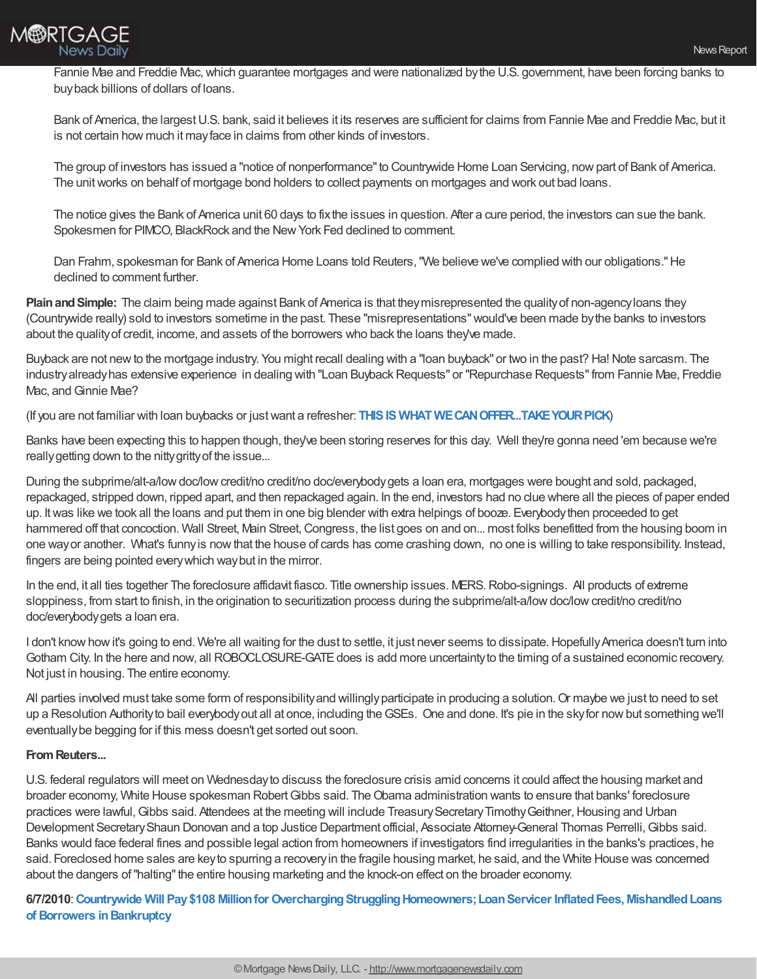

Fannie Mae and Freddie Mac,which guarantee mortgages and were nationalized bythe U.S. government, have been forcing banks to buyback billions of dollars of loans.

Bank of America, the largest U.S. bank, said it believes it its reserves are sufficient for claims from Fannie Mae and Freddie Mac, but it is not certain how much it mayface in claims from other kinds of investors.

The group of investors has issued a "notice of nonperformance"to Countrywide Home Loan Servicing, nowpart of Bank of America. The unit works on behalf of mortgage bond holders to collect payments on mortgages and work out bad loans.

The notice gives the Bank of America unit 60 days to fixthe issues in question. After a cure period, the investors can sue the bank. Spokesmen for PIMCO, BlackRock and the New York Fed declined to comment.

Dan Frahm, spokesman for Bank of America Home Loans told Reuters,"We believe we've complied with our obligations."He declined to comment further.

**Plain and Simple:** The claim being made against Bank of America is that they misrepresented the quality of non-agency loans they (Countrywide really) sold to investors sometime in the past. These "misrepresentations"would've been made bythe banks to investors about the qualityof credit, income, and assets of the borrowers who back the loans they've made.

Buyback are not new to the mortgage industry. You might recall dealing with a "loan buyback" or two in the past? Ha! Note sarcasm. The industry already has extensive experience in dealing with "Loan Buyback Requests" or "Repurchase Requests" from Fannie Mae, Freddie Mac, and Ginnie Mae?

(If you are not familiar with loan buybacks or justwant a refresher: **THISIS [WHATWECANOFFER...TAKEYOURPICK](http://www.mortgagenewsdaily.com/search/SearchResults.aspx?q=loan+buybacks)**)

Banks have been expecting this to happen though, they've been storing reserves for this day. Well they're gonna need 'em because we're really getting down to the nitty gritty of the issue...

During the subprime/alt-a/low doc/low credit/no credit/no doc/everybody gets a loan era, mortgages were bought and sold, packaged, repackaged, stripped down, ripped apart, and then repackaged again. In the end, investors had no clue where all the pieces of paper ended up. Itwas like we took all the loans and put them in one big blender with extra helpings of booze. Everybodythen proceeded to get hammered off that concoction. Wall Street, Main Street, Congress, the list goes on and on... most folks benefitted from the housing boom in one wayor another. What's funnyis nowthat the house of cards has come crashing down, no one is willing to take responsibility. Instead, fingers are being pointed everywhich waybut in the mirror.

In the end, it all ties together The foreclosure affidavit fiasco. Title ownership issues. MERS.Robo-signings. All products of extreme sloppiness, from start to finish, in the origination to securitization process during the subprime/alt-a/low doc/low credit/no credit/no doc/everybodygets a loan era.

I don't know how it's going to end. We're all waiting for the dust to settle, it just never seems to dissipate. Hopefully America doesn't turn into Gotham City. In the here and now, all ROBOCLOSURE-GATE does is add more uncertainty to the timing of a sustained economic recovery. Not just in housing. The entire economy.

All parties involved must take some form of responsibility and willingly participate in producing a solution. Or maybe we just to need to set up a Resolution Authorityto bail everybodyout all at once, including theGSEs. One and done. It's pie in the skyfor nowbut something we'll eventuallybe begging for if this mess doesn't get sorted out soon.

## **FromReuters...**

U.S. federal regulators will meet on Wednesdayto discuss the foreclosure crisis amid concerns it could affect the housing market and broader economy, White House spokesman RobertGibbs said. TheObama administration wants to ensure that banks' foreclosure practices were lawful, Gibbs said. Attendees at the meeting will include Treasury Secretary Timothy Geithner, Housing and Urban Development Secretary Shaun Donovan and a top Justice Department official, Associate Attorney-General Thomas Perrelli, Gibbs said. Banks would face federal fines and possible legal action from homeowners if investigators find irregularities in the banks's practices, he said. Foreclosed home sales are keyto spurring a recoveryin the fragile housing market, he said, and the White House was concerned about the dangers of "halting" the entire housing marketing and the knock-on effect on the broader economy.

**6/7/2010**:**Countrywide Will Pay\$108 Millionfor [OverchargingStrugglingHomeowners;LoanServicer](http://www.ftc.gov/opa/2010/06/countrywide.shtm) InflatedFees, MishandledLoans of Borrowers inBankruptcy**